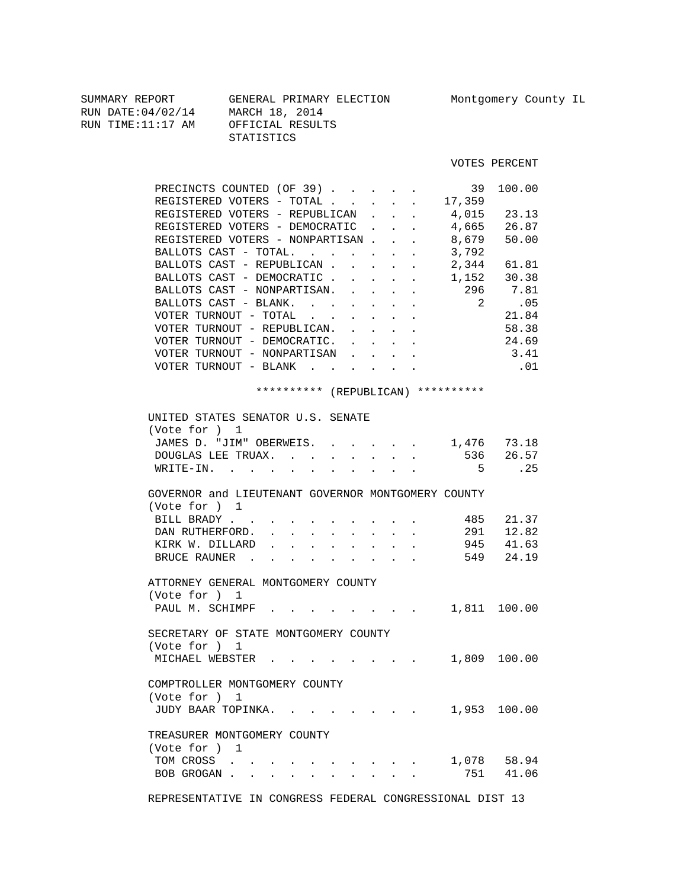SUMMARY REPORT GENERAL PRIMARY ELECTION Montgomery County IL RUN DATE:04/02/14 MARCH 18, 2014 RUN TIME:11:17 AM OFFICIAL RESULTS

VOTES PERCENT

|                                                                                                                                                     | 100.00         |
|-----------------------------------------------------------------------------------------------------------------------------------------------------|----------------|
| $\cdot$ $\cdot$ $\frac{17,359}{ }$<br>REGISTERED VOTERS - TOTAL                                                                                     |                |
| REGISTERED VOTERS - REPUBLICAN.<br>$. 4,015$ 23.13                                                                                                  |                |
| REGISTERED VOTERS - DEMOCRATIC .<br>. 4,665 26.87                                                                                                   |                |
| $8,679$ 50.00<br>REGISTERED VOTERS - NONPARTISAN.<br>$\sim$                                                                                         |                |
| BALLOTS CAST - TOTAL. 3,792                                                                                                                         |                |
| BALLOTS CAST - REPUBLICAN.<br>$\cdot$ . 2,344 61.81<br>$\sim$<br>$\sim$ 100 $\pm$                                                                   |                |
| BALLOTS CAST - DEMOCRATIC.<br>$\sim$                                                                                                                | 1,152 30.38    |
| 296<br>BALLOTS CAST - NONPARTISAN.<br>$\mathbf{L}$<br>$\sim$                                                                                        | 7.81           |
| $\overline{\mathbf{2}}$<br>BALLOTS CAST - BLANK.<br>$\mathbf{L}$<br>$\mathbf{L}$<br>$\sim$                                                          | .05            |
| $\sim$<br>VOTER TURNOUT - TOTAL                                                                                                                     | 21.84          |
| $\mathcal{L}^{\text{max}}$ , $\mathcal{L}^{\text{max}}$<br>$\cdot$ $\cdot$ $\cdot$                                                                  |                |
| VOTER TURNOUT - REPUBLICAN.<br>$\mathbf{r} = \mathbf{r} \times \mathbf{r}$ , where $\mathbf{r} = \mathbf{r}$                                        | 58.38          |
| VOTER TURNOUT - DEMOCRATIC.<br>$\mathbf{r} = \mathbf{r} \cdot \mathbf{r}$                                                                           | 24.69          |
| VOTER TURNOUT - NONPARTISAN<br>$\ddot{\phantom{0}}$<br>$\mathbf{r} = \mathbf{r} + \mathbf{r}$ , where $\mathbf{r} = \mathbf{r}$                     | 3.41           |
| VOTER TURNOUT - BLANK                                                                                                                               | .01            |
| ********** (REPUBLICAN) **********                                                                                                                  |                |
|                                                                                                                                                     |                |
| UNITED STATES SENATOR U.S. SENATE                                                                                                                   |                |
| (Vote for ) 1                                                                                                                                       |                |
| JAMES D. "JIM" OBERWEIS. 1,476 73.18                                                                                                                |                |
| DOUGLAS LEE TRUAX.                                                                                                                                  | 536 26.57      |
| WRITE-IN.<br>5                                                                                                                                      | .25            |
|                                                                                                                                                     |                |
| GOVERNOR and LIEUTENANT GOVERNOR MONTGOMERY COUNTY                                                                                                  |                |
| (Vote for ) 1                                                                                                                                       |                |
|                                                                                                                                                     |                |
| BILL BRADY                                                                                                                                          | 485 21.37      |
| DAN RUTHERFORD.<br>$\mathbf{r} = \mathbf{r}$<br>$\sim 10^{-11}$<br>$\mathbf{L} = \mathbf{L}$<br>$\sim$<br>$\sim$<br>$\sim$                          | 291 12.82      |
| KIRK W. DILLARD<br>$\mathbf{r} = \mathbf{r} - \mathbf{r}$ , and $\mathbf{r} = \mathbf{r} - \mathbf{r}$ , and $\mathbf{r} = \mathbf{r} - \mathbf{r}$ | 945 41.63      |
| BRUCE RAUNER                                                                                                                                        | 549 24.19      |
|                                                                                                                                                     |                |
| ATTORNEY GENERAL MONTGOMERY COUNTY                                                                                                                  |                |
| (Vote for ) 1                                                                                                                                       |                |
| PAUL M. SCHIMPF                                                                                                                                     | 1,811 100.00   |
|                                                                                                                                                     |                |
| SECRETARY OF STATE MONTGOMERY COUNTY                                                                                                                |                |
| (Vote for ) 1                                                                                                                                       |                |
| MICHAEL WEBSTER                                                                                                                                     | 1,809 100.00   |
|                                                                                                                                                     |                |
| COMPTROLLER MONTGOMERY COUNTY                                                                                                                       |                |
| (Vote for ) 1                                                                                                                                       |                |
| JUDY BAAR TOPINKA.                                                                                                                                  | 1,953 100.00   |
|                                                                                                                                                     |                |
| TREASURER MONTGOMERY COUNTY                                                                                                                         |                |
| (Vote for ) 1                                                                                                                                       |                |
| TOM CROSS<br>1,078<br>$\mathbf{L} = \mathbf{L}$<br>751<br>BOB GROGAN.                                                                               | 58.94<br>41.06 |

REPRESENTATIVE IN CONGRESS FEDERAL CONGRESSIONAL DIST 13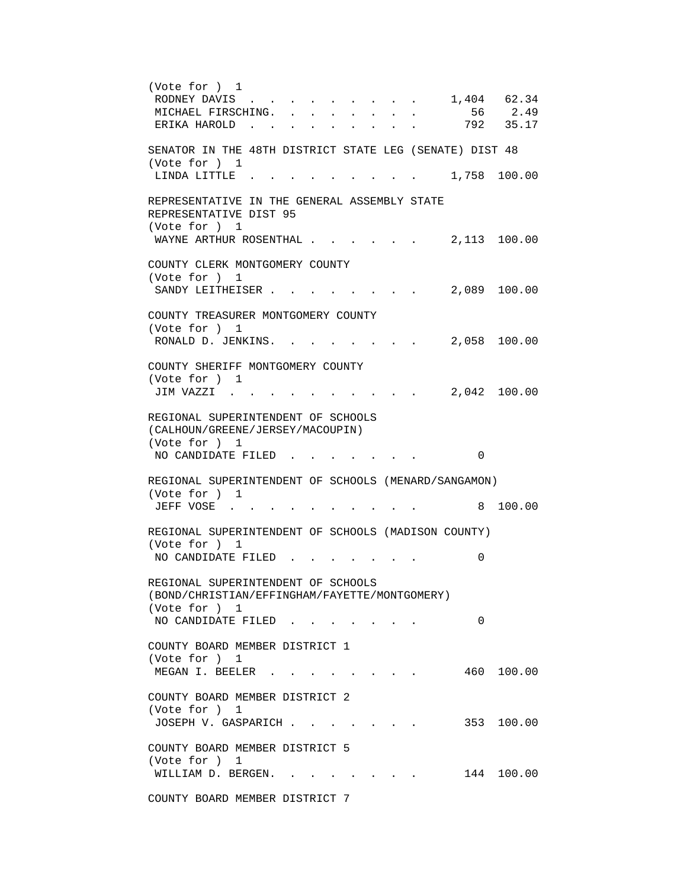(Vote for ) 1 RODNEY DAVIS . . . . . . . . . 1,404 62.34 MICHAEL FIRSCHING. . . . . . . . 56 2.49<br>ERIKA HAROLD . . . . . . . . . 792 35.17 ERIKA HAROLD . . . . . . . . . SENATOR IN THE 48TH DISTRICT STATE LEG (SENATE) DIST 48 (Vote for ) 1 LINDA LITTLE . . . . . . . . . . 1,758 100.00 REPRESENTATIVE IN THE GENERAL ASSEMBLY STATE REPRESENTATIVE DIST 95 (Vote for ) 1 WAYNE ARTHUR ROSENTHAL . . . . . . 2,113 100.00 COUNTY CLERK MONTGOMERY COUNTY (Vote for ) 1 SANDY LEITHEISER . . . . . . . . 2,089 100.00 COUNTY TREASURER MONTGOMERY COUNTY (Vote for ) 1 RONALD D. JENKINS. . . . . . . . 2,058 100.00 COUNTY SHERIFF MONTGOMERY COUNTY (Vote for ) 1 JIM VAZZI . . . . . . . . . . 2,042 100.00 REGIONAL SUPERINTENDENT OF SCHOOLS (CALHOUN/GREENE/JERSEY/MACOUPIN) (Vote for ) 1 NO CANDIDATE FILED . . . . . . . 0 REGIONAL SUPERINTENDENT OF SCHOOLS (MENARD/SANGAMON) (Vote for ) 1 JEFF VOSE . . . . . . . . . . . 8 100.00 REGIONAL SUPERINTENDENT OF SCHOOLS (MADISON COUNTY) (Vote for ) 1 NO CANDIDATE FILED . . . . . . . 0 REGIONAL SUPERINTENDENT OF SCHOOLS (BOND/CHRISTIAN/EFFINGHAM/FAYETTE/MONTGOMERY) (Vote for ) 1 NO CANDIDATE FILED . . . . . . . 0 COUNTY BOARD MEMBER DISTRICT 1 (Vote for ) 1 MEGAN I. BEELER . . . . . . . . . 460 100.00 COUNTY BOARD MEMBER DISTRICT 2 (Vote for ) 1 JOSEPH V. GASPARICH . . . . . . . 353 100.00 COUNTY BOARD MEMBER DISTRICT 5 (Vote for ) 1 WILLIAM D. BERGEN. . . . . . . . 144 100.00

COUNTY BOARD MEMBER DISTRICT 7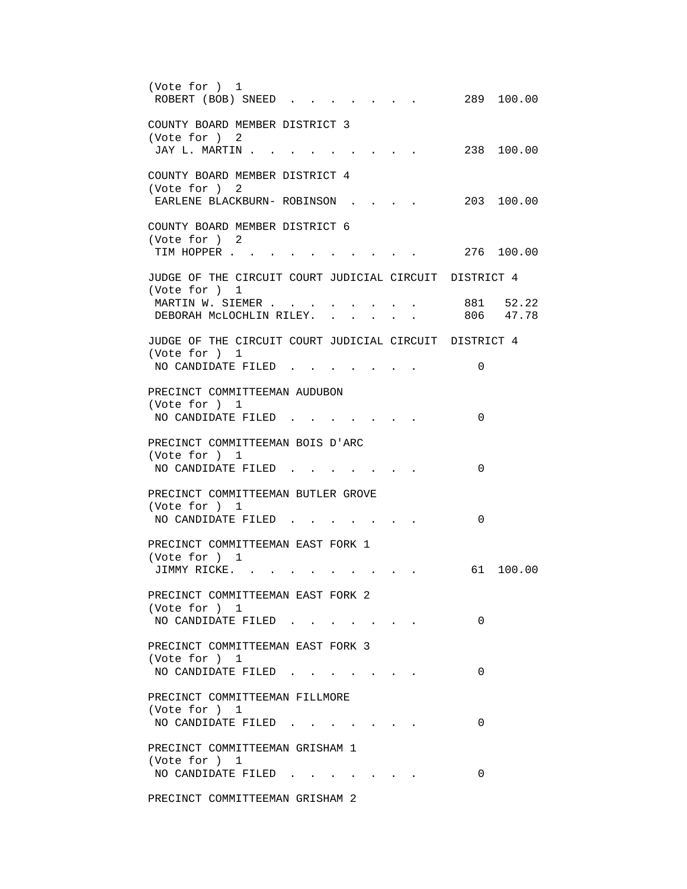(Vote for ) 1 ROBERT (BOB) SNEED . . . . . . . 289 100.00 COUNTY BOARD MEMBER DISTRICT 3 (Vote for ) 2 JAY L. MARTIN . . . . . . . . . . 238 100.00 COUNTY BOARD MEMBER DISTRICT 4 (Vote for ) 2 EARLENE BLACKBURN- ROBINSON . . . . 203 100.00 COUNTY BOARD MEMBER DISTRICT 6 (Vote for ) 2 TIM HOPPER . . . . . . . . . . 276 100.00 JUDGE OF THE CIRCUIT COURT JUDICIAL CIRCUIT DISTRICT 4 (Vote for ) 1 MARTIN W. SIEMER . . . . . . . . . 881 52.22 DEBORAH MCLOCHLIN RILEY. . . . . . 806 47.78 JUDGE OF THE CIRCUIT COURT JUDICIAL CIRCUIT DISTRICT 4 (Vote for ) 1 NO CANDIDATE FILED . . . . . . . 0 PRECINCT COMMITTEEMAN AUDUBON (Vote for ) 1 NO CANDIDATE FILED . . . . . . . 0 PRECINCT COMMITTEEMAN BOIS D'ARC (Vote for ) 1 NO CANDIDATE FILED . . . . . . . 0 PRECINCT COMMITTEEMAN BUTLER GROVE (Vote for ) 1 NO CANDIDATE FILED . . . . . . . 0 PRECINCT COMMITTEEMAN EAST FORK 1 (Vote for ) 1 JIMMY RICKE. . . . . . . . . . 61 100.00 PRECINCT COMMITTEEMAN EAST FORK 2 (Vote for ) 1 NO CANDIDATE FILED . . . . . . . 0 PRECINCT COMMITTEEMAN EAST FORK 3 (Vote for ) 1 NO CANDIDATE FILED . . . . . . . 0 PRECINCT COMMITTEEMAN FILLMORE (Vote for ) 1 NO CANDIDATE FILED . . . . . . . 0 PRECINCT COMMITTEEMAN GRISHAM 1 (Vote for ) 1 NO CANDIDATE FILED . . . . . . . 0

PRECINCT COMMITTEEMAN GRISHAM 2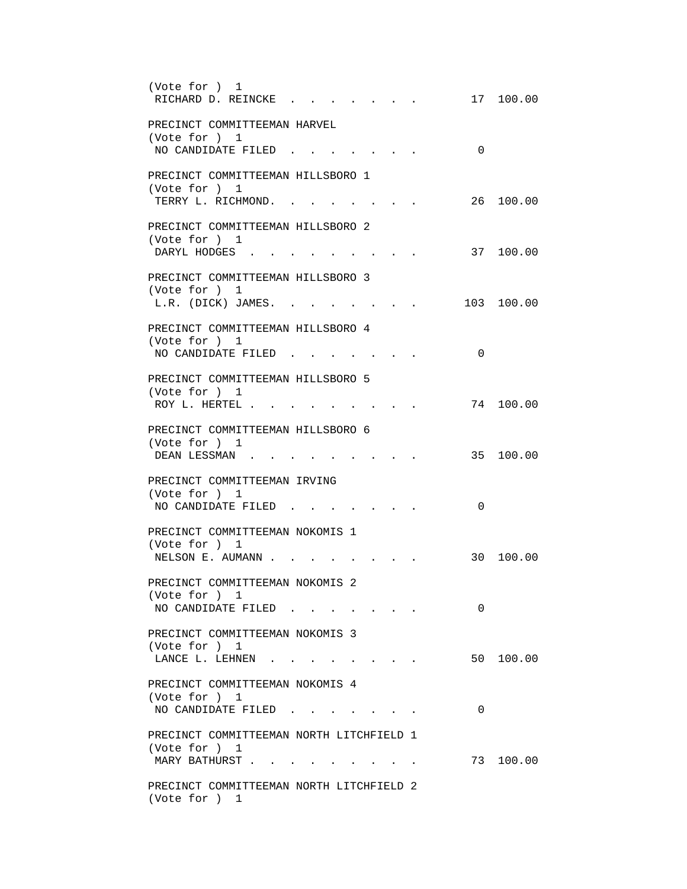| (Vote for ) 1<br>RICHARD D. REINCKE.                                     |  |  |          | 17 100.00  |
|--------------------------------------------------------------------------|--|--|----------|------------|
| PRECINCT COMMITTEEMAN HARVEL<br>(Vote for ) 1                            |  |  |          |            |
| NO CANDIDATE FILED.                                                      |  |  | $\Omega$ |            |
| PRECINCT COMMITTEEMAN HILLSBORO 1<br>(Vote for ) 1<br>TERRY L. RICHMOND. |  |  |          | 26 100.00  |
| PRECINCT COMMITTEEMAN HILLSBORO 2                                        |  |  |          |            |
| (Vote for ) 1<br>DARYL HODGES                                            |  |  |          | 37 100.00  |
| PRECINCT COMMITTEEMAN HILLSBORO 3<br>(Vote for ) 1                       |  |  |          |            |
| L.R. (DICK) JAMES.                                                       |  |  |          | 103 100.00 |
| PRECINCT COMMITTEEMAN HILLSBORO 4<br>(Vote for ) 1                       |  |  |          |            |
| NO CANDIDATE FILED                                                       |  |  | $\Omega$ |            |
| PRECINCT COMMITTEEMAN HILLSBORO 5<br>(Vote for ) 1                       |  |  |          |            |
| ROY L. HERTEL .                                                          |  |  |          | 74 100.00  |
| PRECINCT COMMITTEEMAN HILLSBORO 6<br>(Vote for ) 1                       |  |  |          |            |
| DEAN LESSMAN                                                             |  |  |          | 35 100.00  |
| PRECINCT COMMITTEEMAN IRVING<br>(Vote for ) 1<br>NO CANDIDATE FILED.     |  |  | 0        |            |
|                                                                          |  |  |          |            |
| PRECINCT COMMITTEEMAN NOKOMIS 1<br>(Vote for ) 1<br>NELSON E. AUMANN     |  |  | 30       | 100.00     |
| PRECINCT COMMITTEEMAN NOKOMIS 2<br>(Vote for ) 1                         |  |  |          |            |
| NO CANDIDATE FILED                                                       |  |  | $\Omega$ |            |
| PRECINCT COMMITTEEMAN NOKOMIS 3<br>(Vote for ) 1<br>LANCE L. LEHNEN      |  |  |          | 50 100.00  |
|                                                                          |  |  |          |            |
| PRECINCT COMMITTEEMAN NOKOMIS 4<br>(Vote for ) 1<br>NO CANDIDATE FILED   |  |  | 0        |            |
| PRECINCT COMMITTEEMAN NORTH LITCHFIELD 1                                 |  |  |          |            |
| (Vote for ) 1<br>MARY BATHURST                                           |  |  |          | 73 100.00  |
| PRECINCT COMMITTEEMAN NORTH LITCHFIELD 2<br>(Vote for ) 1                |  |  |          |            |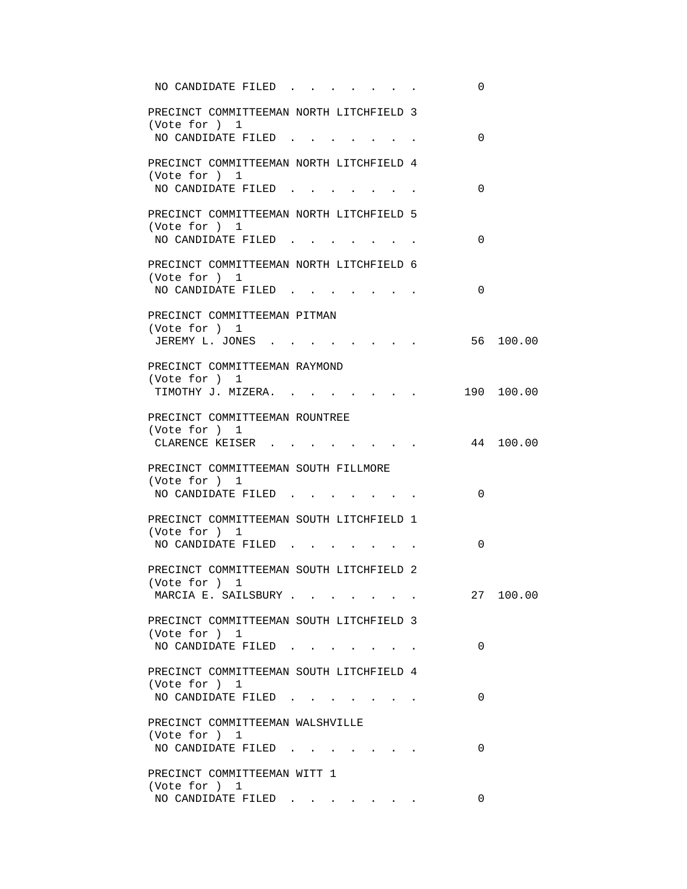```
NO CANDIDATE FILED . . . . . . . 0
 PRECINCT COMMITTEEMAN NORTH LITCHFIELD 3 
 (Vote for ) 1 
NO CANDIDATE FILED . . . . . . . 0
 PRECINCT COMMITTEEMAN NORTH LITCHFIELD 4 
 (Vote for ) 1 
NO CANDIDATE FILED . . . . . . . 0
 PRECINCT COMMITTEEMAN NORTH LITCHFIELD 5 
 (Vote for ) 1 
NO CANDIDATE FILED . . . . . . . 0
 PRECINCT COMMITTEEMAN NORTH LITCHFIELD 6 
 (Vote for ) 1 
NO CANDIDATE FILED . . . . . . . 0
 PRECINCT COMMITTEEMAN PITMAN 
 (Vote for ) 1 
 JEREMY L. JONES . . . . . . . . 56 100.00 
 PRECINCT COMMITTEEMAN RAYMOND 
 (Vote for ) 1 
 TIMOTHY J. MIZERA. . . . . . . . 190 100.00 
 PRECINCT COMMITTEEMAN ROUNTREE 
 (Vote for ) 1 
CLARENCE KEISER . . . . . . . . 44 100.00
 PRECINCT COMMITTEEMAN SOUTH FILLMORE 
 (Vote for ) 1 
NO CANDIDATE FILED . . . . . . . 0
 PRECINCT COMMITTEEMAN SOUTH LITCHFIELD 1 
 (Vote for ) 1 
NO CANDIDATE FILED . . . . . . . 0
 PRECINCT COMMITTEEMAN SOUTH LITCHFIELD 2 
 (Vote for ) 1 
MARCIA E. SAILSBURY . . . . . . . 27 100.00
 PRECINCT COMMITTEEMAN SOUTH LITCHFIELD 3 
 (Vote for ) 1 
NO CANDIDATE FILED . . . . . . . 0
 PRECINCT COMMITTEEMAN SOUTH LITCHFIELD 4 
 (Vote for ) 1 
NO CANDIDATE FILED . . . . . . . 0
 PRECINCT COMMITTEEMAN WALSHVILLE 
 (Vote for ) 1 
NO CANDIDATE FILED . . . . . . . 0
 PRECINCT COMMITTEEMAN WITT 1 
 (Vote for ) 1 
NO CANDIDATE FILED . . . . . . . 0
```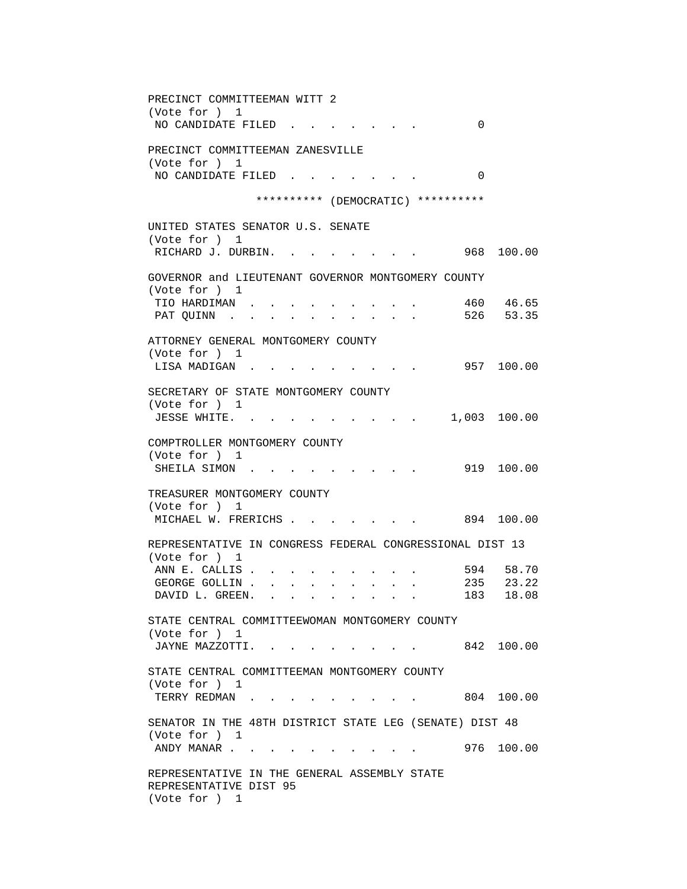PRECINCT COMMITTEEMAN WITT 2 (Vote for ) 1 NO CANDIDATE FILED . . . . . . . 0 PRECINCT COMMITTEEMAN ZANESVILLE (Vote for ) 1 NO CANDIDATE FILED . . . . . . . 0 \*\*\*\*\*\*\*\*\*\* (DEMOCRATIC) \*\*\*\*\*\*\*\*\*\* UNITED STATES SENATOR U.S. SENATE (Vote for ) 1 RICHARD J. DURBIN. . . . . . . . . 968 100.00 GOVERNOR and LIEUTENANT GOVERNOR MONTGOMERY COUNTY (Vote for ) 1 TIO HARDIMAN . . . . . . . . . 460 46.65 PAT QUINN . . . . . . . . . . . 526 53.35 ATTORNEY GENERAL MONTGOMERY COUNTY (Vote for ) 1 LISA MADIGAN . . . . . . . . . . 957 100.00 SECRETARY OF STATE MONTGOMERY COUNTY (Vote for ) 1 JESSE WHITE. . . . . . . . . . 1,003 100.00 COMPTROLLER MONTGOMERY COUNTY (Vote for ) 1 SHEILA SIMON . . . . . . . . . 919 100.00 TREASURER MONTGOMERY COUNTY (Vote for ) 1 MICHAEL W. FRERICHS . . . . . . . 894 100.00 REPRESENTATIVE IN CONGRESS FEDERAL CONGRESSIONAL DIST 13 (Vote for ) 1 ANN E. CALLIS . . . . . . . . . . 594 58.70<br>GEORGE GOLLIN . . . . . . . . . 235 23.22 GEORGE GOLLIN . . . . . . . . . . DAVID L. GREEN. . . . . . . . . 183 18.08 STATE CENTRAL COMMITTEEWOMAN MONTGOMERY COUNTY (Vote for ) 1 JAYNE MAZZOTTI. . . . . . . . . 842 100.00 STATE CENTRAL COMMITTEEMAN MONTGOMERY COUNTY (Vote for ) 1 TERRY REDMAN . . . . . . . . . . 804 100.00 SENATOR IN THE 48TH DISTRICT STATE LEG (SENATE) DIST 48 (Vote for ) 1 ANDY MANAR . . . . . . . . . . . 976 100.00 REPRESENTATIVE IN THE GENERAL ASSEMBLY STATE REPRESENTATIVE DIST 95 (Vote for ) 1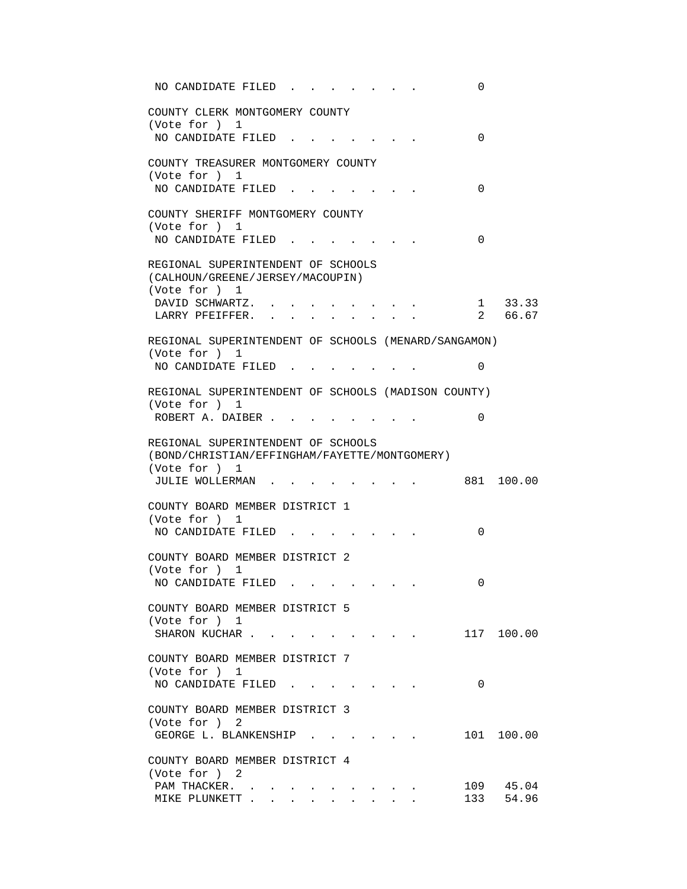NO CANDIDATE FILED . . . . . . . 0 COUNTY CLERK MONTGOMERY COUNTY (Vote for ) 1 NO CANDIDATE FILED . . . . . . . 0 COUNTY TREASURER MONTGOMERY COUNTY (Vote for ) 1 NO CANDIDATE FILED . . . . . . . 0 COUNTY SHERIFF MONTGOMERY COUNTY (Vote for ) 1 NO CANDIDATE FILED . . . . . . . 0 REGIONAL SUPERINTENDENT OF SCHOOLS (CALHOUN/GREENE/JERSEY/MACOUPIN) (Vote for ) 1 DAVID SCHWARTZ. . . . . . . . . 1 33.33 LARRY PFEIFFER. . . . . . . . . . 2 66.67 REGIONAL SUPERINTENDENT OF SCHOOLS (MENARD/SANGAMON) (Vote for ) 1 NO CANDIDATE FILED . . . . . . . 0 REGIONAL SUPERINTENDENT OF SCHOOLS (MADISON COUNTY) (Vote for ) 1 ROBERT A. DAIBER . . . . . . . . 0 REGIONAL SUPERINTENDENT OF SCHOOLS (BOND/CHRISTIAN/EFFINGHAM/FAYETTE/MONTGOMERY) (Vote for ) 1 JULIE WOLLERMAN . . . . . . . . 881 100.00 COUNTY BOARD MEMBER DISTRICT 1 (Vote for ) 1 NO CANDIDATE FILED . . . . . . . 0 COUNTY BOARD MEMBER DISTRICT 2 (Vote for ) 1 NO CANDIDATE FILED . . . . . . . 0 COUNTY BOARD MEMBER DISTRICT 5 (Vote for ) 1 SHARON KUCHAR . . . . . . . . . 117 100.00 COUNTY BOARD MEMBER DISTRICT 7 (Vote for ) 1 NO CANDIDATE FILED . . . . . . . 0 COUNTY BOARD MEMBER DISTRICT 3 (Vote for ) 2 GEORGE L. BLANKENSHIP . . . . . . 101 100.00 COUNTY BOARD MEMBER DISTRICT 4 (Vote for ) 2 PAM THACKER. . . . . . . . . . . 109 45.04<br>MIKE PLUNKETT . . . . . . . . . . 133 54.96 MIKE PLUNKETT . . . . . . . . . .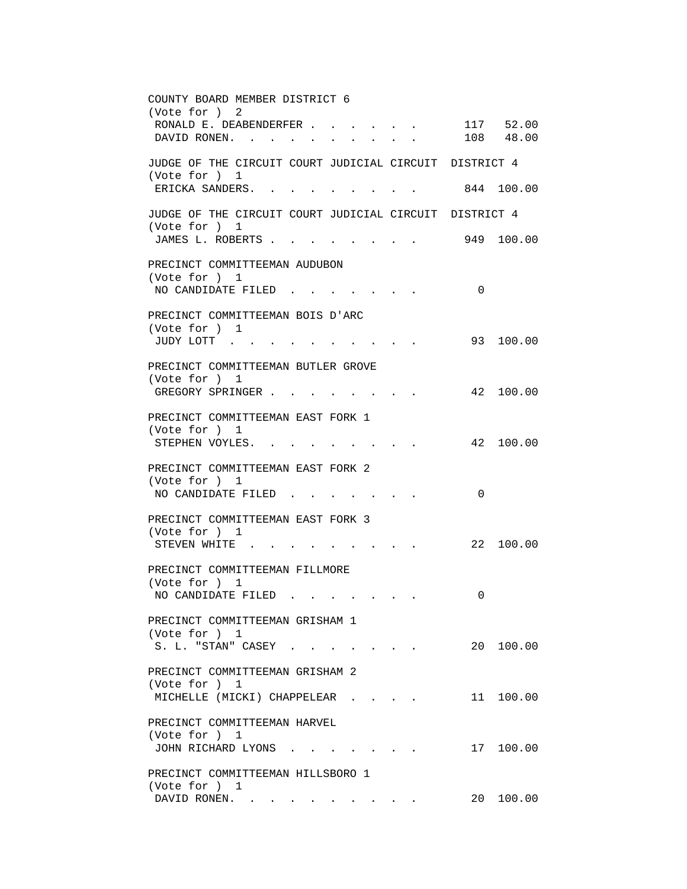| COUNTY BOARD MEMBER DISTRICT 6                                                                                                              |
|---------------------------------------------------------------------------------------------------------------------------------------------|
| (Vote for ) 2<br>117 52.00                                                                                                                  |
| RONALD E. DEABENDERFER<br>108 48.00<br>DAVID RONEN.<br>the contract of the contract of the                                                  |
|                                                                                                                                             |
| JUDGE OF THE CIRCUIT COURT JUDICIAL CIRCUIT DISTRICT 4                                                                                      |
| (Vote for ) 1                                                                                                                               |
| ERICKA SANDERS.<br>844 100.00                                                                                                               |
| JUDGE OF THE CIRCUIT COURT JUDICIAL CIRCUIT DISTRICT 4                                                                                      |
| (Vote for ) 1                                                                                                                               |
| JAMES L. ROBERTS<br>949 100.00                                                                                                              |
| PRECINCT COMMITTEEMAN AUDUBON                                                                                                               |
| (Vote for ) 1                                                                                                                               |
| $\Omega$<br>NO CANDIDATE FILED                                                                                                              |
|                                                                                                                                             |
| PRECINCT COMMITTEEMAN BOIS D'ARC                                                                                                            |
| (Vote for ) 1<br>93 100.00<br>JUDY LOTT                                                                                                     |
|                                                                                                                                             |
| PRECINCT COMMITTEEMAN BUTLER GROVE                                                                                                          |
| (Vote for ) 1                                                                                                                               |
| GREGORY SPRINGER<br>42 100.00                                                                                                               |
| PRECINCT COMMITTEEMAN EAST FORK 1                                                                                                           |
| (Vote for ) 1                                                                                                                               |
| 42 100.00<br>STEPHEN VOYLES                                                                                                                 |
| PRECINCT COMMITTEEMAN EAST FORK 2                                                                                                           |
| (Vote for ) 1                                                                                                                               |
| $\Omega$<br>NO CANDIDATE FILED                                                                                                              |
| PRECINCT COMMITTEEMAN EAST FORK 3                                                                                                           |
| (Vote for ) 1                                                                                                                               |
| 22 100.00<br>STEVEN WHITE .<br>and the state of the state of the                                                                            |
|                                                                                                                                             |
| PRECINCT COMMITTEEMAN FILLMORE<br>(Vote for ) 1                                                                                             |
| NO CANDIDATE FILED.<br>0<br>the contract of the contract of the contract of the contract of the contract of the contract of the contract of |
|                                                                                                                                             |
| PRECINCT COMMITTEEMAN GRISHAM 1                                                                                                             |
| (Vote for ) 1<br>S. L. "STAN" $CASEY$<br>20 100.00                                                                                          |
|                                                                                                                                             |
| PRECINCT COMMITTEEMAN GRISHAM 2                                                                                                             |
| (Vote for ) 1                                                                                                                               |
| MICHELLE (MICKI) CHAPPELEAR<br>11 100.00                                                                                                    |
| PRECINCT COMMITTEEMAN HARVEL                                                                                                                |
| (Vote for ) 1                                                                                                                               |
| JOHN RICHARD LYONS<br>17 100.00                                                                                                             |
| PRECINCT COMMITTEEMAN HILLSBORO 1                                                                                                           |
| (Vote for ) 1                                                                                                                               |
| 20 100.00<br>DAVID RONEN.                                                                                                                   |
|                                                                                                                                             |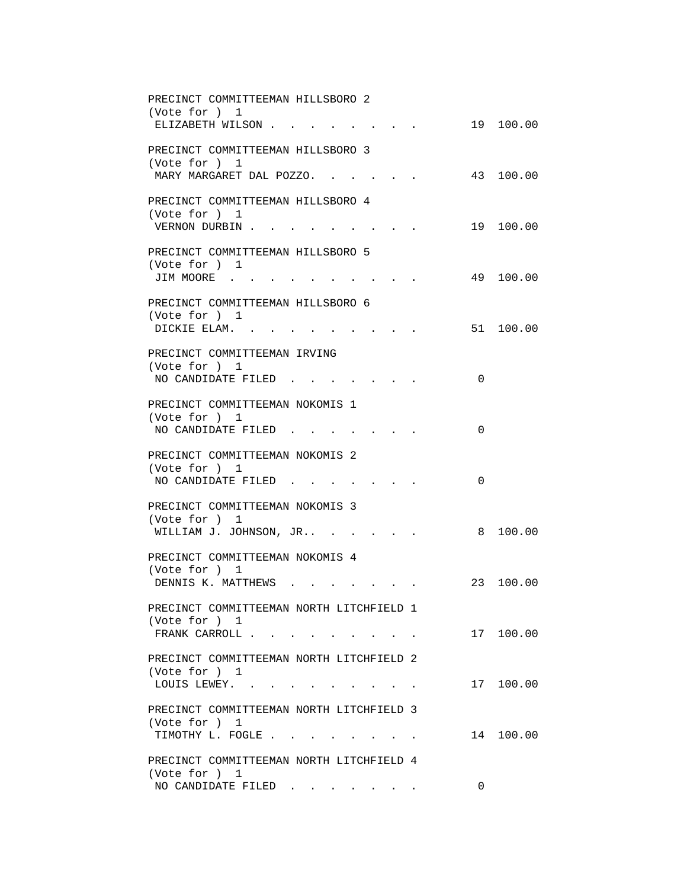| PRECINCT COMMITTEEMAN HILLSBORO 2<br>(Vote for ) 1 |                                         |          |           |
|----------------------------------------------------|-----------------------------------------|----------|-----------|
| ELIZABETH WILSON                                   |                                         |          | 19 100.00 |
| PRECINCT COMMITTEEMAN HILLSBORO 3                  |                                         |          |           |
| (Vote for ) 1<br>MARY MARGARET DAL POZZO. .        |                                         |          | 43 100.00 |
| PRECINCT COMMITTEEMAN HILLSBORO 4                  |                                         |          |           |
| (Vote for ) 1<br>VERNON DURBIN                     |                                         |          | 19 100.00 |
| PRECINCT COMMITTEEMAN HILLSBORO 5                  |                                         |          |           |
| (Vote for ) 1<br>JIM MOORE                         |                                         |          | 49 100.00 |
| PRECINCT COMMITTEEMAN HILLSBORO 6                  |                                         |          |           |
| (Vote for ) 1<br>DICKIE ELAM                       |                                         |          | 51 100.00 |
| PRECINCT COMMITTEEMAN IRVING                       |                                         |          |           |
| (Vote for ) 1<br>NO CANDIDATE FILED.               |                                         | $\Omega$ |           |
| PRECINCT COMMITTEEMAN NOKOMIS 1                    |                                         |          |           |
| (Vote for ) 1<br>NO CANDIDATE FILED.               |                                         | $\Omega$ |           |
| PRECINCT COMMITTEEMAN NOKOMIS 2                    |                                         |          |           |
| (Vote for ) 1<br>NO CANDIDATE FILED.               |                                         | $\Omega$ |           |
| PRECINCT COMMITTEEMAN NOKOMIS 3                    |                                         |          |           |
| (Vote for ) 1<br>WILLIAM J. JOHNSON, JR            |                                         |          | 8 100.00  |
| PRECINCT COMMITTEEMAN NOKOMIS 4                    |                                         |          |           |
| (Vote for ) 1<br>DENNIS K. MATTHEWS.               |                                         |          | 23 100.00 |
| PRECINCT COMMITTEEMAN NORTH LITCHFIELD 1           |                                         |          |           |
| (Vote for ) 1<br>FRANK CARROLL                     |                                         |          | 17 100.00 |
| PRECINCT COMMITTEEMAN NORTH LITCHFIELD 2           |                                         |          |           |
| (Vote for ) 1<br>LOUIS LEWEY.                      | $\cdot$ $\cdot$ $\cdot$ $\cdot$ $\cdot$ |          | 17 100.00 |
| PRECINCT COMMITTEEMAN NORTH LITCHFIELD 3           |                                         |          |           |
| (Vote for ) 1<br>TIMOTHY L. FOGLE                  |                                         |          | 14 100.00 |
| PRECINCT COMMITTEEMAN NORTH LITCHFIELD 4           |                                         |          |           |
| (Vote for ) 1<br>NO CANDIDATE FILED                |                                         | 0        |           |
|                                                    |                                         |          |           |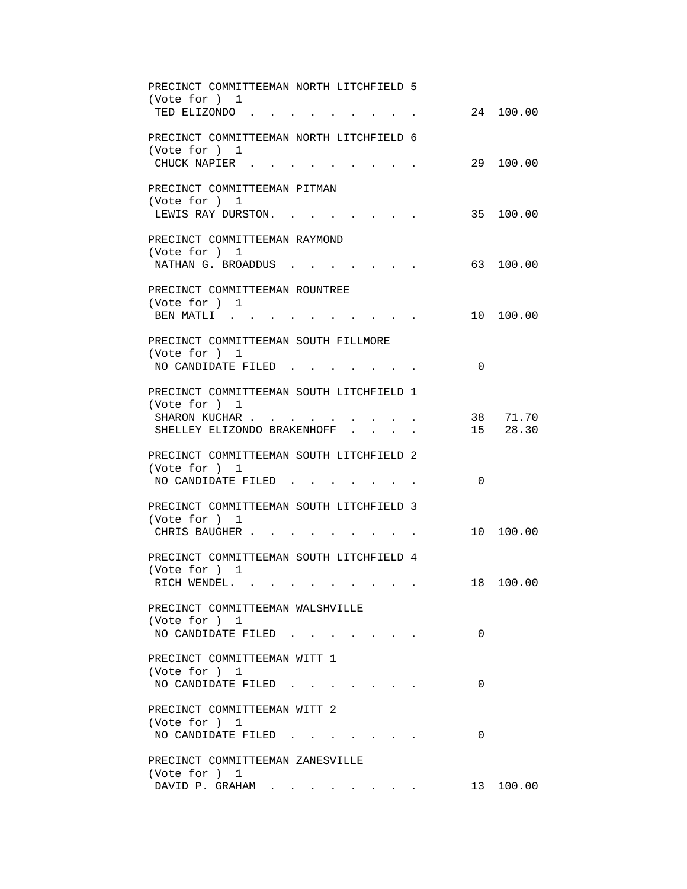| PRECINCT COMMITTEEMAN NORTH LITCHFIELD 5<br>(Vote for ) 1 |          |                      |
|-----------------------------------------------------------|----------|----------------------|
| TED ELIZONDO                                              |          | 24 100.00            |
| PRECINCT COMMITTEEMAN NORTH LITCHFIELD 6<br>(Vote for ) 1 |          |                      |
| CHUCK NAPIER                                              | 29       | 100.00               |
| PRECINCT COMMITTEEMAN PITMAN<br>(Vote for ) 1             |          |                      |
| LEWIS RAY DURSTON.                                        |          | 35 100.00            |
| PRECINCT COMMITTEEMAN RAYMOND<br>(Vote for ) 1            |          |                      |
| NATHAN G. BROADDUS                                        |          | 63 100.00            |
| PRECINCT COMMITTEEMAN ROUNTREE<br>(Vote for ) 1           |          |                      |
| BEN MATLI                                                 |          | 10 100.00            |
| PRECINCT COMMITTEEMAN SOUTH FILLMORE<br>(Vote for ) 1     |          |                      |
| NO CANDIDATE FILED                                        | $\Omega$ |                      |
| PRECINCT COMMITTEEMAN SOUTH LITCHFIELD 1<br>(Vote for ) 1 |          |                      |
| SHARON KUCHAR<br>SHELLEY ELIZONDO BRAKENHOFF              |          | 38 71.70<br>15 28.30 |
|                                                           |          |                      |
| PRECINCT COMMITTEEMAN SOUTH LITCHFIELD 2<br>(Vote for ) 1 |          |                      |
| NO CANDIDATE FILED                                        | $\Omega$ |                      |
| PRECINCT COMMITTEEMAN SOUTH LITCHFIELD 3<br>(Vote for ) 1 |          |                      |
| CHRIS BAUGHER                                             |          | 10 100.00            |
| PRECINCT COMMITTEEMAN SOUTH LITCHFIELD 4<br>(Vote for ) 1 |          |                      |
| RICH WENDEL.                                              |          | 18 100.00            |
| PRECINCT COMMITTEEMAN WALSHVILLE<br>(Vote for ) 1         |          |                      |
| NO CANDIDATE FILED                                        | 0        |                      |
| PRECINCT COMMITTEEMAN WITT 1<br>(Vote for ) 1             |          |                      |
| NO CANDIDATE FILED                                        | 0        |                      |
| PRECINCT COMMITTEEMAN WITT 2                              |          |                      |
| (Vote for ) 1<br>NO CANDIDATE FILED                       | 0        |                      |
| PRECINCT COMMITTEEMAN ZANESVILLE<br>(Vote for ) 1         |          |                      |
| DAVID P. GRAHAM                                           |          | 13 100.00            |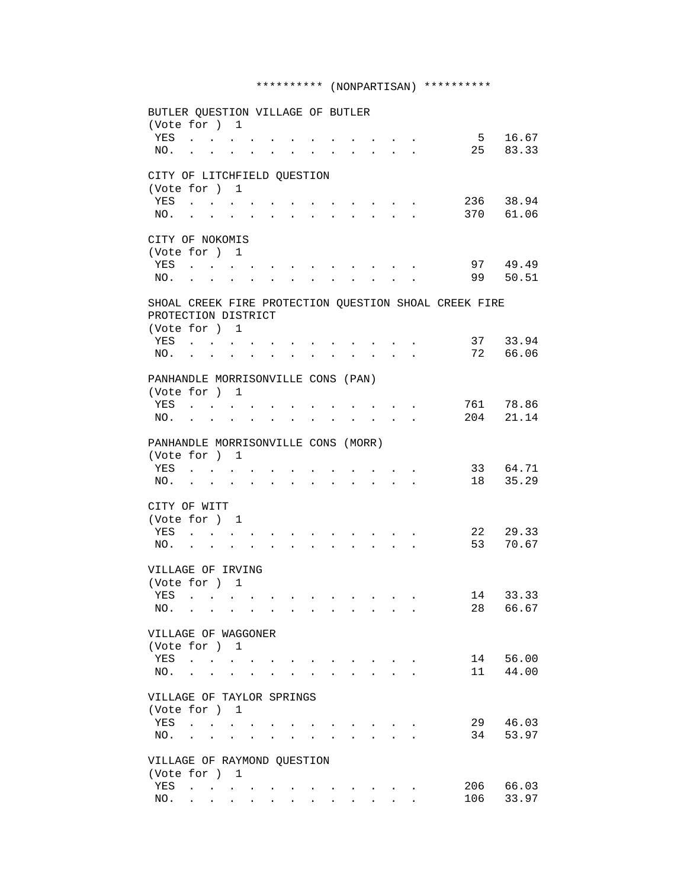| BUTLER QUESTION VILLAGE OF BUTLER<br>(Vote for ) 1 |                                                                                                                 |               |                                                                                                                                                                                                                                |                      |                      |                           |                                    |                      |                                                                                                                                                                                                                                |                                                           |                      |                |                                                       |           |
|----------------------------------------------------|-----------------------------------------------------------------------------------------------------------------|---------------|--------------------------------------------------------------------------------------------------------------------------------------------------------------------------------------------------------------------------------|----------------------|----------------------|---------------------------|------------------------------------|----------------------|--------------------------------------------------------------------------------------------------------------------------------------------------------------------------------------------------------------------------------|-----------------------------------------------------------|----------------------|----------------|-------------------------------------------------------|-----------|
| YES                                                | $\mathcal{A}^{\mathcal{A}}$ , and $\mathcal{A}^{\mathcal{A}}$ , and $\mathcal{A}^{\mathcal{A}}$                 |               |                                                                                                                                                                                                                                |                      |                      |                           |                                    |                      |                                                                                                                                                                                                                                |                                                           |                      |                |                                                       | 5 16.67   |
| NO.                                                |                                                                                                                 |               | and a series of the contract of the series of the series of the series of the series of the series of the series of the series of the series of the series of the series of the series of the series of the series of the seri |                      |                      |                           |                                    |                      |                                                                                                                                                                                                                                |                                                           |                      |                |                                                       | 25 83.33  |
| CITY OF LITCHFIELD QUESTION                        |                                                                                                                 |               |                                                                                                                                                                                                                                |                      |                      |                           |                                    |                      |                                                                                                                                                                                                                                |                                                           |                      |                |                                                       |           |
| (Vote for ) 1                                      |                                                                                                                 |               |                                                                                                                                                                                                                                |                      |                      |                           |                                    |                      |                                                                                                                                                                                                                                |                                                           |                      |                |                                                       |           |
| YES                                                | $\mathcal{L}^{\mathcal{L}}$ , and $\mathcal{L}^{\mathcal{L}}$ , and $\mathcal{L}^{\mathcal{L}}$                 |               |                                                                                                                                                                                                                                |                      |                      |                           |                                    |                      |                                                                                                                                                                                                                                | $\mathbf{r}$ , $\mathbf{r}$ , $\mathbf{r}$ , $\mathbf{r}$ |                      |                |                                                       | 236 38.94 |
| NO.                                                |                                                                                                                 |               |                                                                                                                                                                                                                                |                      |                      |                           |                                    |                      |                                                                                                                                                                                                                                |                                                           | $\ddot{\phantom{a}}$ |                |                                                       | 370 61.06 |
| CITY OF NOKOMIS                                    |                                                                                                                 |               |                                                                                                                                                                                                                                |                      |                      |                           |                                    |                      |                                                                                                                                                                                                                                |                                                           |                      |                |                                                       |           |
| (Vote for ) 1                                      |                                                                                                                 |               |                                                                                                                                                                                                                                |                      |                      |                           |                                    |                      |                                                                                                                                                                                                                                |                                                           |                      |                |                                                       |           |
| YES                                                |                                                                                                                 |               |                                                                                                                                                                                                                                |                      |                      |                           |                                    |                      |                                                                                                                                                                                                                                |                                                           |                      |                |                                                       | 97 49.49  |
| NO.                                                |                                                                                                                 |               |                                                                                                                                                                                                                                |                      |                      |                           |                                    |                      |                                                                                                                                                                                                                                |                                                           |                      |                |                                                       | 99 50.51  |
|                                                    |                                                                                                                 |               |                                                                                                                                                                                                                                |                      |                      |                           |                                    |                      |                                                                                                                                                                                                                                |                                                           |                      |                | SHOAL CREEK FIRE PROTECTION QUESTION SHOAL CREEK FIRE |           |
| PROTECTION DISTRICT                                |                                                                                                                 |               |                                                                                                                                                                                                                                |                      |                      |                           |                                    |                      |                                                                                                                                                                                                                                |                                                           |                      |                |                                                       |           |
| (Vote for ) 1                                      |                                                                                                                 |               |                                                                                                                                                                                                                                |                      |                      |                           |                                    |                      |                                                                                                                                                                                                                                |                                                           |                      |                |                                                       |           |
| YES                                                | $\mathcal{A}(\mathbf{x})$ . The set of the set of the set of $\mathcal{A}(\mathbf{x})$                          |               |                                                                                                                                                                                                                                |                      |                      |                           | $\sim$ $\sim$ $\sim$ $\sim$ $\sim$ |                      |                                                                                                                                                                                                                                |                                                           |                      |                |                                                       | 37 33.94  |
| NO.                                                | the contract of the contract of the contract of the contract of the contract of the contract of the contract of |               |                                                                                                                                                                                                                                |                      |                      |                           |                                    |                      |                                                                                                                                                                                                                                |                                                           |                      |                |                                                       | 72 66.06  |
| PANHANDLE MORRISONVILLE CONS (PAN)                 |                                                                                                                 |               |                                                                                                                                                                                                                                |                      |                      |                           |                                    |                      |                                                                                                                                                                                                                                |                                                           |                      |                |                                                       |           |
| (Vote for ) 1                                      |                                                                                                                 |               |                                                                                                                                                                                                                                |                      |                      |                           |                                    |                      |                                                                                                                                                                                                                                |                                                           |                      |                |                                                       |           |
| YES                                                | $\mathbf{r}$ . The set of $\mathbf{r}$                                                                          |               |                                                                                                                                                                                                                                |                      |                      |                           |                                    |                      |                                                                                                                                                                                                                                |                                                           |                      |                | 761                                                   | 78.86     |
| NO.                                                | $\mathbf{L}$                                                                                                    | $\sim$        |                                                                                                                                                                                                                                |                      |                      |                           |                                    |                      |                                                                                                                                                                                                                                | $\mathbf{r} = \mathbf{r}$                                 | $\mathbf{L}$         | $\overline{a}$ | 204                                                   | 21.14     |
| PANHANDLE MORRISONVILLE CONS (MORR)                |                                                                                                                 |               |                                                                                                                                                                                                                                |                      |                      |                           |                                    |                      |                                                                                                                                                                                                                                |                                                           |                      |                |                                                       |           |
| (Vote for ) 1                                      |                                                                                                                 |               |                                                                                                                                                                                                                                |                      |                      |                           |                                    |                      |                                                                                                                                                                                                                                |                                                           |                      |                |                                                       |           |
| YES                                                | $\mathcal{A}(\mathbf{x})$ and $\mathcal{A}(\mathbf{x})$ and $\mathcal{A}(\mathbf{x})$                           |               |                                                                                                                                                                                                                                |                      |                      |                           |                                    |                      |                                                                                                                                                                                                                                |                                                           |                      |                |                                                       | 33 64.71  |
| NO.                                                | the contract of the contract of                                                                                 |               |                                                                                                                                                                                                                                |                      | $\ddot{\phantom{a}}$ | $\ddot{\phantom{0}}$      | $\ddot{\phantom{0}}$               | $\bullet$            | $\bullet$                                                                                                                                                                                                                      | $\ddot{\phantom{0}}$                                      |                      |                |                                                       | 18 35.29  |
| CITY OF WITT                                       |                                                                                                                 |               |                                                                                                                                                                                                                                |                      |                      |                           |                                    |                      |                                                                                                                                                                                                                                |                                                           |                      |                |                                                       |           |
| (Vote for ) 1                                      |                                                                                                                 |               |                                                                                                                                                                                                                                |                      |                      |                           |                                    |                      |                                                                                                                                                                                                                                |                                                           |                      |                |                                                       |           |
| YES                                                | <b>Contract Contract Contract</b>                                                                               |               |                                                                                                                                                                                                                                | <b>Contractor</b>    |                      | $\mathbf{L} = \mathbf{L}$ |                                    |                      |                                                                                                                                                                                                                                |                                                           |                      |                |                                                       | 22 29.33  |
| NO.                                                | $\sim$ $\sim$ $\sim$ $\sim$                                                                                     |               |                                                                                                                                                                                                                                | $\ddot{\phantom{a}}$ | $\mathbf{r}$         | $\ddot{\phantom{a}}$      | $\sim$                             | $\ddot{\phantom{a}}$ | $\mathbf{r}$                                                                                                                                                                                                                   | $\mathbf{r}$                                              | $\sim$               |                |                                                       | 53 70.67  |
|                                                    |                                                                                                                 |               |                                                                                                                                                                                                                                |                      |                      |                           |                                    |                      |                                                                                                                                                                                                                                |                                                           |                      |                |                                                       |           |
| VILLAGE OF IRVING                                  |                                                                                                                 |               |                                                                                                                                                                                                                                |                      |                      |                           |                                    |                      |                                                                                                                                                                                                                                |                                                           |                      |                |                                                       |           |
| (Vote for ) 1                                      |                                                                                                                 |               |                                                                                                                                                                                                                                |                      |                      |                           |                                    |                      |                                                                                                                                                                                                                                |                                                           |                      |                |                                                       |           |
| YES                                                |                                                                                                                 |               | $\mathbf{r} = \mathbf{r} \times \mathbf{r}$ , where $\mathbf{r} = \mathbf{r} \times \mathbf{r}$ , where $\mathbf{r} = \mathbf{r} \times \mathbf{r}$                                                                            |                      |                      |                           |                                    | $\sim$ $\sim$        |                                                                                                                                                                                                                                | <b>All Contract Contract</b>                              |                      |                |                                                       | 14 33.33  |
| NO.                                                |                                                                                                                 |               | the contract of the contract of the contract of the contract of the contract of the contract of the contract of                                                                                                                |                      |                      |                           |                                    |                      |                                                                                                                                                                                                                                |                                                           |                      |                |                                                       | 28 66.67  |
| VILLAGE OF WAGGONER                                |                                                                                                                 |               |                                                                                                                                                                                                                                |                      |                      |                           |                                    |                      |                                                                                                                                                                                                                                |                                                           |                      |                |                                                       |           |
| (Vote for ) 1                                      |                                                                                                                 |               |                                                                                                                                                                                                                                |                      |                      |                           |                                    |                      |                                                                                                                                                                                                                                |                                                           |                      |                |                                                       |           |
| YES                                                | and the contract of the contract of                                                                             |               |                                                                                                                                                                                                                                |                      |                      |                           | $\sim$ $\sim$ $\sim$ $\sim$ $\sim$ |                      |                                                                                                                                                                                                                                |                                                           |                      |                | 14                                                    | 56.00     |
| NO.                                                | $\mathbf{r}$ , $\mathbf{r}$ , $\mathbf{r}$ , $\mathbf{r}$ , $\mathbf{r}$                                        |               |                                                                                                                                                                                                                                |                      |                      |                           |                                    |                      | $\mathbf{r}$ , and $\mathbf{r}$ , and $\mathbf{r}$ , and $\mathbf{r}$                                                                                                                                                          |                                                           |                      |                | 11                                                    | 44.00     |
| VILLAGE OF TAYLOR SPRINGS                          |                                                                                                                 |               |                                                                                                                                                                                                                                |                      |                      |                           |                                    |                      |                                                                                                                                                                                                                                |                                                           |                      |                |                                                       |           |
| (Vote for ) 1                                      |                                                                                                                 |               |                                                                                                                                                                                                                                |                      |                      |                           |                                    |                      |                                                                                                                                                                                                                                |                                                           |                      |                |                                                       |           |
| YES                                                | $\mathbf{L}$                                                                                                    | $\sim$ $\sim$ |                                                                                                                                                                                                                                |                      |                      |                           |                                    |                      |                                                                                                                                                                                                                                |                                                           |                      |                | 29                                                    | 46.03     |
| NO.                                                |                                                                                                                 |               |                                                                                                                                                                                                                                |                      |                      |                           |                                    |                      |                                                                                                                                                                                                                                |                                                           |                      |                | 34                                                    | 53.97     |
|                                                    |                                                                                                                 |               |                                                                                                                                                                                                                                |                      |                      |                           |                                    |                      |                                                                                                                                                                                                                                |                                                           |                      |                |                                                       |           |
| VILLAGE OF RAYMOND QUESTION<br>(Vote for ) 1       |                                                                                                                 |               |                                                                                                                                                                                                                                |                      |                      |                           |                                    |                      |                                                                                                                                                                                                                                |                                                           |                      |                |                                                       |           |
| YES                                                |                                                                                                                 |               |                                                                                                                                                                                                                                |                      |                      |                           |                                    |                      | and a strong control of the state of the state of the state of the state of the state of the state of the state of the state of the state of the state of the state of the state of the state of the state of the state of the |                                                           |                      |                |                                                       | 206 66.03 |
| NO.                                                |                                                                                                                 |               | and a series of the series of the series of                                                                                                                                                                                    |                      |                      |                           |                                    |                      |                                                                                                                                                                                                                                |                                                           |                      |                | 106                                                   | 33.97     |
|                                                    |                                                                                                                 |               |                                                                                                                                                                                                                                |                      |                      |                           |                                    |                      |                                                                                                                                                                                                                                |                                                           |                      |                |                                                       |           |